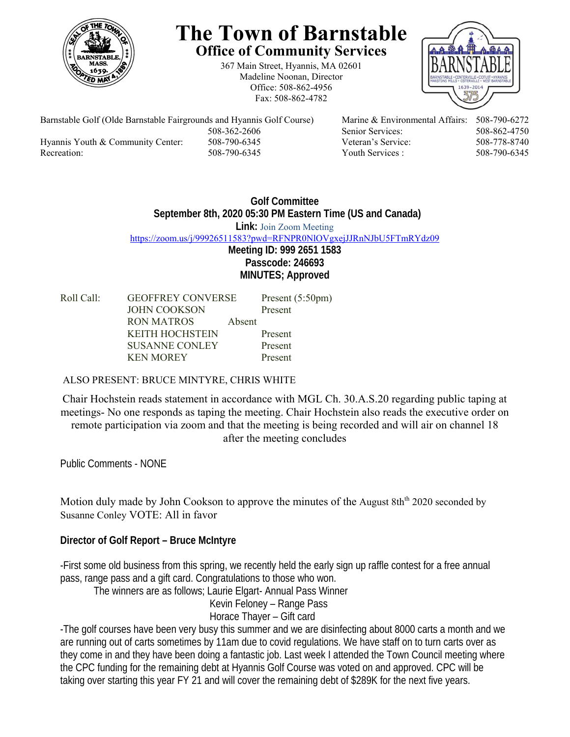

# **The Town of Barnstable Office of Community Services**

367 Main Street, Hyannis, MA 02601 Madeline Noonan, Director Office: 508-862-4956 Fax: 508-862-4782



Barnstable Golf (Olde Barnstable Fairgrounds and Hyannis Golf Course) Marine & Environmental Affairs: 508-790-6272 Hyannis Youth & Community Center: 508-790-6345 Veteran's Service: 508-778-8740 Recreation: 508-790-6345 Youth Services : 508-790-6345 S08-790-6345

508-362-2606 Senior Services: 508-862-4750

# **Golf Committee September 8th, 2020 05:30 PM Eastern Time (US and Canada) Link:** Join Zoom Meeting https://zoom.us/j/99926511583?pwd=RFNPR0NlOVgxejJJRnNJbU5FTmRYdz09 **Meeting ID: 999 2651 1583 Passcode: 246693 MINUTES; Approved**

| Roll Call: | <b>GEOFFREY CONVERSE</b> |        | Present $(5:50 \text{pm})$ |
|------------|--------------------------|--------|----------------------------|
|            | JOHN COOKSON             |        | Present                    |
|            | RON MATROS               | Absent |                            |
|            | <b>KEITH HOCHSTEIN</b>   |        | Present                    |
|            | SUSANNE CONLEY           |        | Present                    |
|            | <b>KEN MOREY</b>         |        | Present                    |

# ALSO PRESENT: BRUCE MINTYRE, CHRIS WHITE

Chair Hochstein reads statement in accordance with MGL Ch. 30.A.S.20 regarding public taping at meetings- No one responds as taping the meeting. Chair Hochstein also reads the executive order on remote participation via zoom and that the meeting is being recorded and will air on channel 18 after the meeting concludes

Public Comments - NONE

Motion duly made by John Cookson to approve the minutes of the August  $8th<sup>th</sup> 2020$  seconded by Susanne Conley VOTE: All in favor

# **Director of Golf Report – Bruce McIntyre**

-First some old business from this spring, we recently held the early sign up raffle contest for a free annual pass, range pass and a gift card. Congratulations to those who won.

The winners are as follows; Laurie Elgart- Annual Pass Winner

Kevin Feloney – Range Pass Horace Thayer – Gift card

-The golf courses have been very busy this summer and we are disinfecting about 8000 carts a month and we are running out of carts sometimes by 11am due to covid regulations. We have staff on to turn carts over as they come in and they have been doing a fantastic job. Last week I attended the Town Council meeting where the CPC funding for the remaining debt at Hyannis Golf Course was voted on and approved. CPC will be taking over starting this year FY 21 and will cover the remaining debt of \$289K for the next five years.